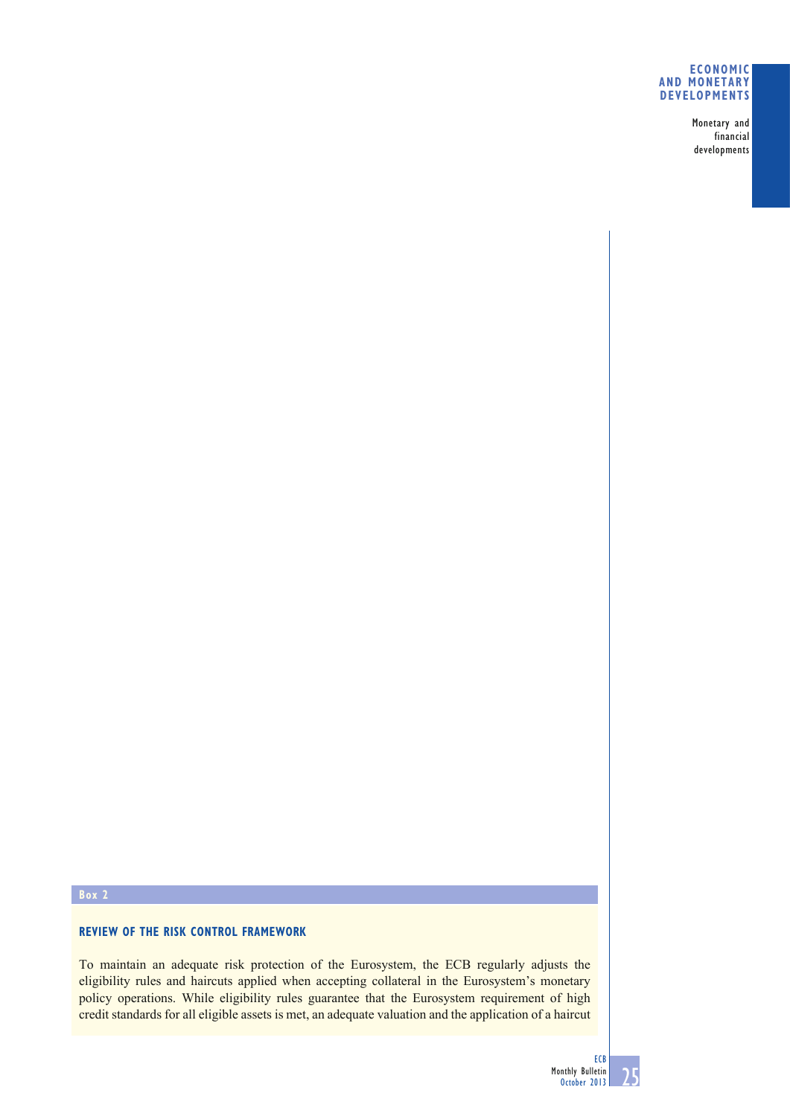### **ECONOMIC AND MONETARY DEVELOPMENTS**

Monetary and financial developments

# **Box 2**

## **REVIEW OF THE RISK CONTROL FRAMEWORK**

To maintain an adequate risk protection of the Eurosystem, the ECB regularly adjusts the eligibility rules and haircuts applied when accepting collateral in the Eurosystem's monetary policy operations. While eligibility rules guarantee that the Eurosystem requirement of high credit standards for all eligible assets is met, an adequate valuation and the application of a haircut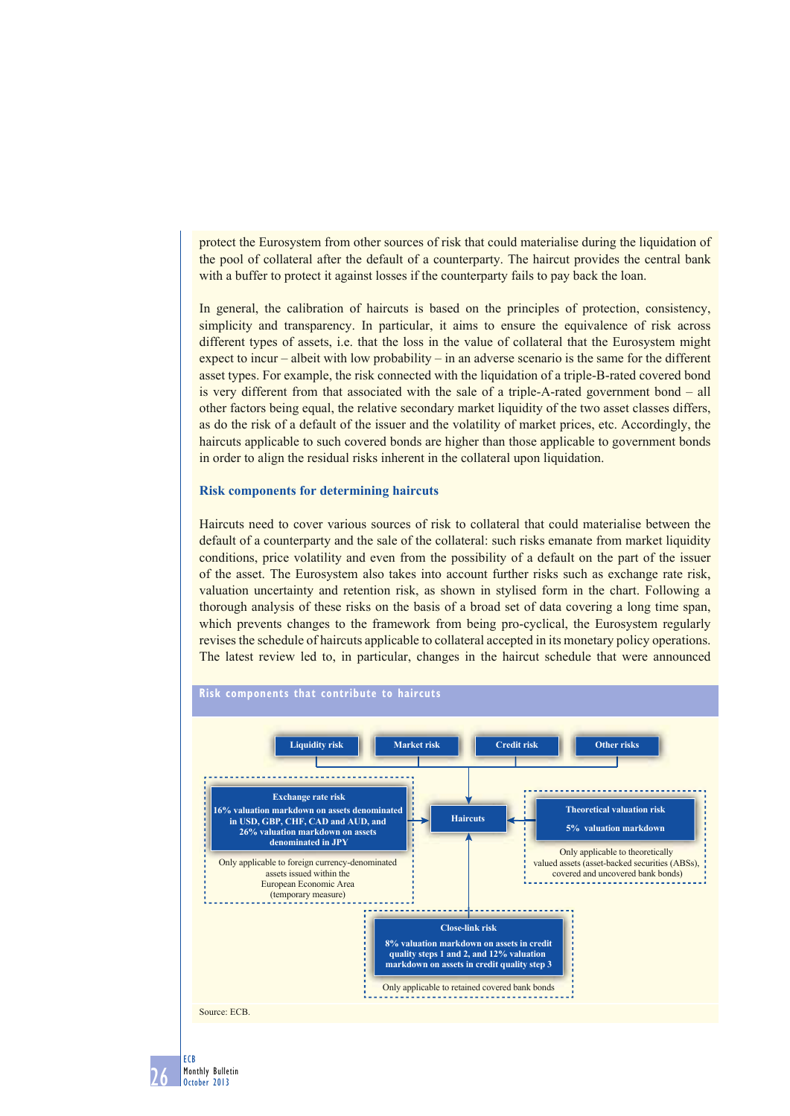protect the Eurosystem from other sources of risk that could materialise during the liquidation of the pool of collateral after the default of a counterparty. The haircut provides the central bank with a buffer to protect it against losses if the counterparty fails to pay back the loan.

In general, the calibration of haircuts is based on the principles of protection, consistency, simplicity and transparency. In particular, it aims to ensure the equivalence of risk across different types of assets, i.e. that the loss in the value of collateral that the Eurosystem might expect to incur – albeit with low probability – in an adverse scenario is the same for the different asset types. For example, the risk connected with the liquidation of a triple -B-rated covered bond is very different from that associated with the sale of a triple-A-rated government bond – all other factors being equal, the relative secondary market liquidity of the two asset classes differs, as do the risk of a default of the issuer and the volatility of market prices, etc. Accordingly, the haircuts applicable to such covered bonds are higher than those applicable to government bonds in order to align the residual risks inherent in the collateral upon liquidation.

#### **Risk components for determining haircuts**

Haircuts need to cover various sources of risk to collateral that could materialise between the default of a counterparty and the sale of the collateral: such risks emanate from market liquidity conditions, price volatility and even from the possibility of a default on the part of the issuer of the asset. The Eurosystem also takes into account further risks such as exchange rate risk, valuation uncertainty and retention risk, as shown in stylised form in the chart. Following a thorough analysis of these risks on the basis of a broad set of data covering a long time span, which prevents changes to the framework from being pro-cyclical, the Eurosystem regularly revises the schedule of haircuts applicable to collateral accepted in its monetary policy operations. The latest review led to, in particular, changes in the haircut schedule that were announced



26 Monthly Bulletin October 2013